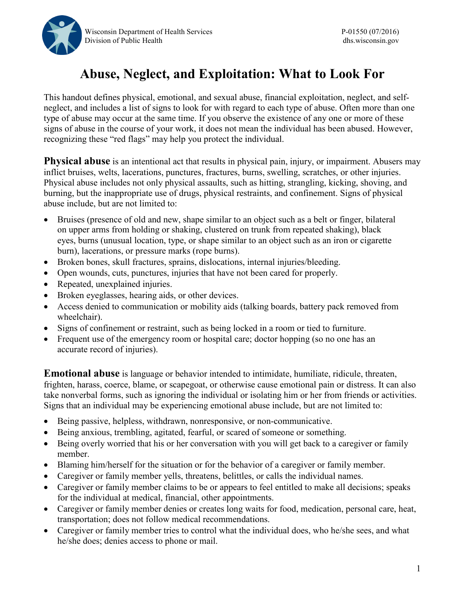

## **Abuse, Neglect, and Exploitation: What to Look For**

This handout defines physical, emotional, and sexual abuse, financial exploitation, neglect, and selfneglect, and includes a list of signs to look for with regard to each type of abuse. Often more than one type of abuse may occur at the same time. If you observe the existence of any one or more of these signs of abuse in the course of your work, it does not mean the individual has been abused. However, recognizing these "red flags" may help you protect the individual.

**Physical abuse** is an intentional act that results in physical pain, injury, or impairment. Abusers may inflict bruises, welts, lacerations, punctures, fractures, burns, swelling, scratches, or other injuries. Physical abuse includes not only physical assaults, such as hitting, strangling, kicking, shoving, and burning, but the inappropriate use of drugs, physical restraints, and confinement. Signs of physical abuse include, but are not limited to:

- Bruises (presence of old and new, shape similar to an object such as a belt or finger, bilateral on upper arms from holding or shaking, clustered on trunk from repeated shaking), black eyes, burns (unusual location, type, or shape similar to an object such as an iron or cigarette burn), lacerations, or pressure marks (rope burns).
- Broken bones, skull fractures, sprains, dislocations, internal injuries/bleeding.
- Open wounds, cuts, punctures, injuries that have not been cared for properly.
- Repeated, unexplained injuries.
- Broken eyeglasses, hearing aids, or other devices.
- Access denied to communication or mobility aids (talking boards, battery pack removed from wheelchair).
- Signs of confinement or restraint, such as being locked in a room or tied to furniture.
- Frequent use of the emergency room or hospital care; doctor hopping (so no one has an accurate record of injuries).

**Emotional abuse** is language or behavior intended to intimidate, humiliate, ridicule, threaten, frighten, harass, coerce, blame, or scapegoat, or otherwise cause emotional pain or distress. It can also take nonverbal forms, such as ignoring the individual or isolating him or her from friends or activities. Signs that an individual may be experiencing emotional abuse include, but are not limited to:

- Being passive, helpless, withdrawn, nonresponsive, or non-communicative.
- Being anxious, trembling, agitated, fearful, or scared of someone or something.
- Being overly worried that his or her conversation with you will get back to a caregiver or family member.
- Blaming him/herself for the situation or for the behavior of a caregiver or family member.
- Caregiver or family member yells, threatens, belittles, or calls the individual names.
- Caregiver or family member claims to be or appears to feel entitled to make all decisions; speaks for the individual at medical, financial, other appointments.
- Caregiver or family member denies or creates long waits for food, medication, personal care, heat, transportation; does not follow medical recommendations.
- Caregiver or family member tries to control what the individual does, who he/she sees, and what he/she does; denies access to phone or mail.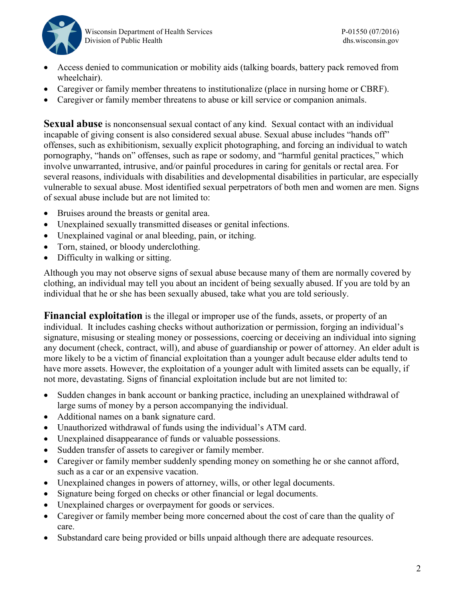

- Access denied to communication or mobility aids (talking boards, battery pack removed from wheelchair).
- Caregiver or family member threatens to institutionalize (place in nursing home or CBRF).
- Caregiver or family member threatens to abuse or kill service or companion animals.

**Sexual abuse** is nonconsensual sexual contact of any kind. Sexual contact with an individual incapable of giving consent is also considered sexual abuse. Sexual abuse includes "hands off" offenses, such as exhibitionism, sexually explicit photographing, and forcing an individual to watch pornography, "hands on" offenses, such as rape or sodomy, and "harmful genital practices," which involve unwarranted, intrusive, and/or painful procedures in caring for genitals or rectal area. For several reasons, individuals with disabilities and developmental disabilities in particular, are especially vulnerable to sexual abuse. Most identified sexual perpetrators of both men and women are men. Signs of sexual abuse include but are not limited to:

- Bruises around the breasts or genital area.
- Unexplained sexually transmitted diseases or genital infections.
- Unexplained vaginal or anal bleeding, pain, or itching.
- Torn, stained, or bloody underclothing.
- Difficulty in walking or sitting.

Although you may not observe signs of sexual abuse because many of them are normally covered by clothing, an individual may tell you about an incident of being sexually abused. If you are told by an individual that he or she has been sexually abused, take what you are told seriously.

**Financial exploitation** is the illegal or improper use of the funds, assets, or property of an individual. It includes cashing checks without authorization or permission, forging an individual's signature, misusing or stealing money or possessions, coercing or deceiving an individual into signing any document (check, contract, will), and abuse of guardianship or power of attorney. An elder adult is more likely to be a victim of financial exploitation than a younger adult because elder adults tend to have more assets. However, the exploitation of a younger adult with limited assets can be equally, if not more, devastating. Signs of financial exploitation include but are not limited to:

- Sudden changes in bank account or banking practice, including an unexplained withdrawal of large sums of money by a person accompanying the individual.
- Additional names on a bank signature card.
- Unauthorized withdrawal of funds using the individual's ATM card.
- Unexplained disappearance of funds or valuable possessions.
- Sudden transfer of assets to caregiver or family member.
- Caregiver or family member suddenly spending money on something he or she cannot afford, such as a car or an expensive vacation.
- Unexplained changes in powers of attorney, wills, or other legal documents.
- Signature being forged on checks or other financial or legal documents.
- Unexplained charges or overpayment for goods or services.
- Caregiver or family member being more concerned about the cost of care than the quality of care.
- Substandard care being provided or bills unpaid although there are adequate resources.